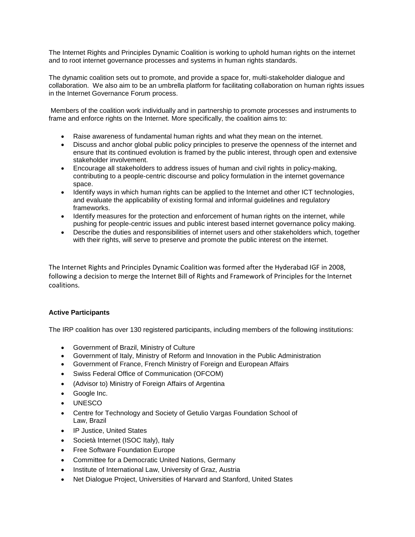The Internet Rights and Principles Dynamic Coalition is working to uphold human rights on the internet and to root internet governance processes and systems in human rights standards.

The dynamic coalition sets out to promote, and provide a space for, multi-stakeholder dialogue and collaboration. We also aim to be an umbrella platform for facilitating collaboration on human rights issues in the Internet Governance Forum process.

Members of the coalition work individually and in partnership to promote processes and instruments to frame and enforce rights on the Internet. More specifically, the coalition aims to:

- Raise awareness of fundamental human rights and what they mean on the internet.
- Discuss and anchor global public policy principles to preserve the openness of the internet and ensure that its continued evolution is framed by the public interest, through open and extensive stakeholder involvement.
- Encourage all stakeholders to address issues of human and civil rights in policy-making, contributing to a people-centric discourse and policy formulation in the internet governance space.
- Identify ways in which human rights can be applied to the Internet and other ICT technologies, and evaluate the applicability of existing formal and informal guidelines and regulatory frameworks.
- Identify measures for the protection and enforcement of human rights on the internet, while pushing for people-centric issues and public interest based internet governance policy making.
- Describe the duties and responsibilities of internet users and other stakeholders which, together with their rights, will serve to preserve and promote the public interest on the internet.

The Internet Rights and Principles Dynamic Coalition was formed after the Hyderabad IGF in 2008, following a decision to merge the Internet Bill of Rights and Framework of Principles for the Internet coalitions.

## **Active Participants**

The IRP coalition has over 130 registered participants, including members of the following institutions:

- Government of Brazil, Ministry of Culture
- Government of Italy, Ministry of Reform and Innovation in the Public Administration
- Government of France, French Ministry of Foreign and European Affairs
- Swiss Federal Office of Communication (OFCOM)
- (Advisor to) Ministry of Foreign Affairs of Argentina
- Google Inc.
- UNESCO
- Centre for Technology and Society of Getulio Vargas Foundation School of Law, Brazil
- IP Justice, United States
- Società Internet (ISOC Italy), Italy
- Free Software Foundation Europe
- Committee for a Democratic United Nations, Germany
- Institute of International Law, University of Graz, Austria
- Net Dialogue Project, Universities of Harvard and Stanford, United States